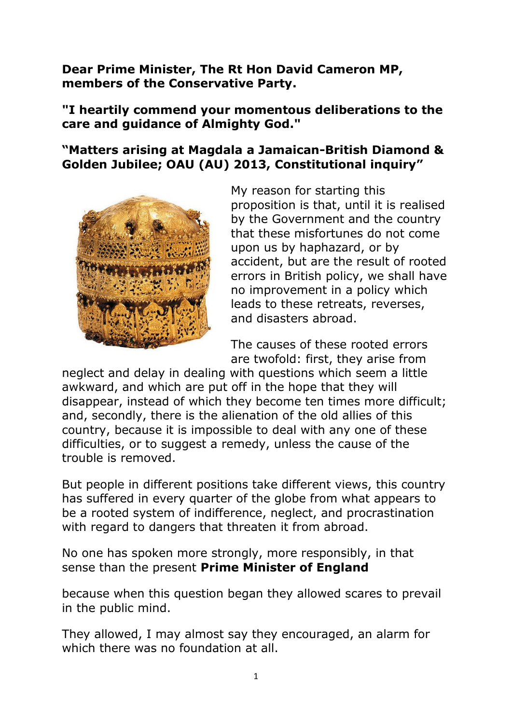**Dear Prime Minister, The Rt Hon David Cameron MP, members of the Conservative Party.**

**"I heartily commend your momentous deliberations to the care and guidance of Almighty God."**

**"Matters arising at Magdala a Jamaican-British Diamond & Golden Jubilee; OAU (AU) 2013, Constitutional inquiry"**



My reason for starting this proposition is that, until it is realised by the Government and the country that these misfortunes do not come upon us by haphazard, or by accident, but are the result of rooted errors in British policy, we shall have no improvement in a policy which leads to these retreats, reverses, and disasters abroad.

The causes of these rooted errors are twofold: first, they arise from

neglect and delay in dealing with questions which seem a little awkward, and which are put off in the hope that they will disappear, instead of which they become ten times more difficult; and, secondly, there is the alienation of the old allies of this country, because it is impossible to deal with any one of these difficulties, or to suggest a remedy, unless the cause of the trouble is removed.

But people in different positions take different views, this country has suffered in every quarter of the globe from what appears to be a rooted system of indifference, neglect, and procrastination with regard to dangers that threaten it from abroad.

No one has spoken more strongly, more responsibly, in that sense than the present **Prime Minister of England**

because when this question began they allowed scares to prevail in the public mind.

They allowed, I may almost say they encouraged, an alarm for which there was no foundation at all.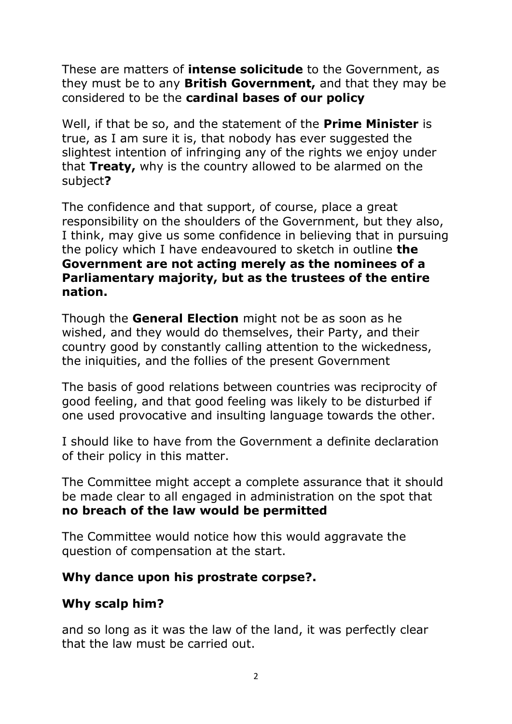These are matters of **intense solicitude** to the Government, as they must be to any **British Government,** and that they may be considered to be the **cardinal bases of our policy**

Well, if that be so, and the statement of the **Prime Minister** is true, as I am sure it is, that nobody has ever suggested the slightest intention of infringing any of the rights we enjoy under that **Treaty,** why is the country allowed to be alarmed on the subject**?**

The confidence and that support, of course, place a great responsibility on the shoulders of the Government, but they also, I think, may give us some confidence in believing that in pursuing the policy which I have endeavoured to sketch in outline **the Government are not acting merely as the nominees of a Parliamentary majority, but as the trustees of the entire nation.**

Though the **General Election** might not be as soon as he wished, and they would do themselves, their Party, and their country good by constantly calling attention to the wickedness, the iniquities, and the follies of the present Government

The basis of good relations between countries was reciprocity of good feeling, and that good feeling was likely to be disturbed if one used provocative and insulting language towards the other.

I should like to have from the Government a definite declaration of their policy in this matter.

The Committee might accept a complete assurance that it should be made clear to all engaged in administration on the spot that **no breach of the law would be permitted**

The Committee would notice how this would aggravate the question of compensation at the start.

## **Why dance upon his prostrate corpse?.**

# **Why scalp him?**

and so long as it was the law of the land, it was perfectly clear that the law must be carried out.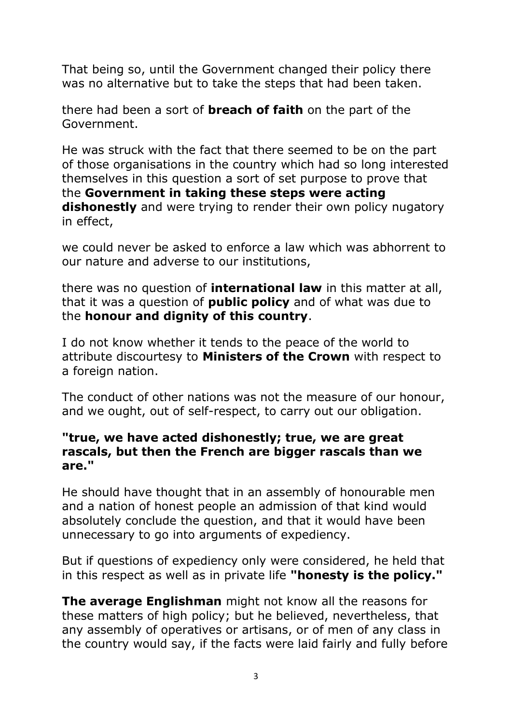That being so, until the Government changed their policy there was no alternative but to take the steps that had been taken.

there had been a sort of **breach of faith** on the part of the Government.

He was struck with the fact that there seemed to be on the part of those organisations in the country which had so long interested themselves in this question a sort of set purpose to prove that the **Government in taking these steps were acting dishonestly** and were trying to render their own policy nugatory in effect,

we could never be asked to enforce a law which was abhorrent to our nature and adverse to our institutions,

there was no question of **international law** in this matter at all, that it was a question of **public policy** and of what was due to the **honour and dignity of this country**.

I do not know whether it tends to the peace of the world to attribute discourtesy to **Ministers of the Crown** with respect to a foreign nation.

The conduct of other nations was not the measure of our honour, and we ought, out of self-respect, to carry out our obligation.

## **"true, we have acted dishonestly; true, we are great rascals, but then the French are bigger rascals than we are."**

He should have thought that in an assembly of honourable men and a nation of honest people an admission of that kind would absolutely conclude the question, and that it would have been unnecessary to go into arguments of expediency.

But if questions of expediency only were considered, he held that in this respect as well as in private life **"honesty is the policy."**

**The average Englishman** might not know all the reasons for these matters of high policy; but he believed, nevertheless, that any assembly of operatives or artisans, or of men of any class in the country would say, if the facts were laid fairly and fully before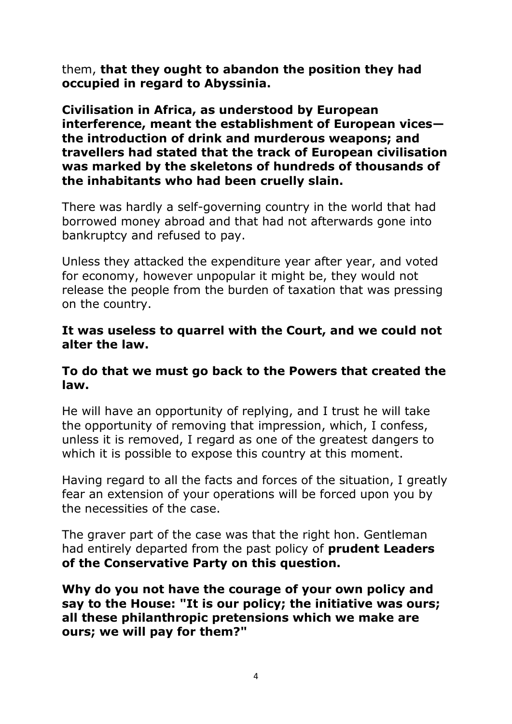them, **that they ought to abandon the position they had occupied in regard to Abyssinia.**

**Civilisation in Africa, as understood by European interference, meant the establishment of European vices the introduction of drink and murderous weapons; and travellers had stated that the track of European civilisation was marked by the skeletons of hundreds of thousands of the inhabitants who had been cruelly slain.**

There was hardly a self-governing country in the world that had borrowed money abroad and that had not afterwards gone into bankruptcy and refused to pay.

Unless they attacked the expenditure year after year, and voted for economy, however unpopular it might be, they would not release the people from the burden of taxation that was pressing on the country.

#### **It was useless to quarrel with the Court, and we could not alter the law.**

#### **To do that we must go back to the Powers that created the law.**

He will have an opportunity of replying, and I trust he will take the opportunity of removing that impression, which, I confess, unless it is removed, I regard as one of the greatest dangers to which it is possible to expose this country at this moment.

Having regard to all the facts and forces of the situation, I greatly fear an extension of your operations will be forced upon you by the necessities of the case.

The graver part of the case was that the right hon. Gentleman had entirely departed from the past policy of **prudent Leaders of the Conservative Party on this question.** 

**Why do you not have the courage of your own policy and say to the House: "It is our policy; the initiative was ours; all these philanthropic pretensions which we make are ours; we will pay for them?"**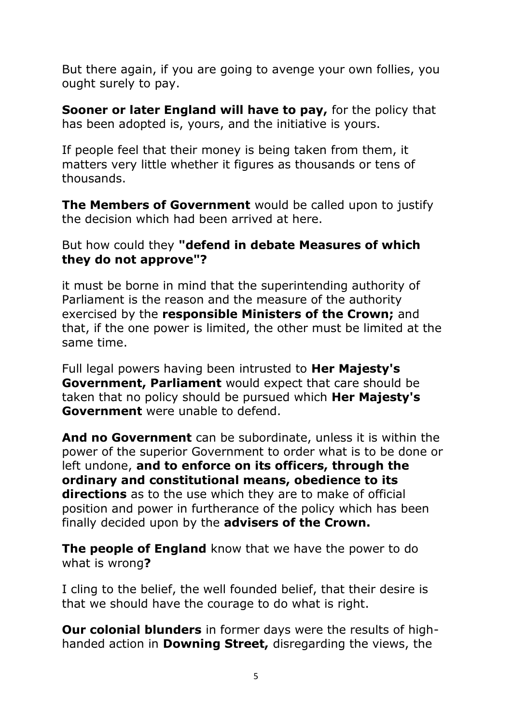But there again, if you are going to avenge your own follies, you ought surely to pay.

**Sooner or later England will have to pay,** for the policy that has been adopted is, yours, and the initiative is yours.

If people feel that their money is being taken from them, it matters very little whether it figures as thousands or tens of thousands.

**The Members of Government** would be called upon to justify the decision which had been arrived at here.

## But how could they **"defend in debate Measures of which they do not approve"?**

it must be borne in mind that the superintending authority of Parliament is the reason and the measure of the authority exercised by the **responsible Ministers of the Crown;** and that, if the one power is limited, the other must be limited at the same time.

Full legal powers having been intrusted to **Her Majesty's Government, Parliament** would expect that care should be taken that no policy should be pursued which **Her Majesty's Government** were unable to defend.

**And no Government** can be subordinate, unless it is within the power of the superior Government to order what is to be done or left undone, **and to enforce on its officers, through the ordinary and constitutional means, obedience to its directions** as to the use which they are to make of official position and power in furtherance of the policy which has been finally decided upon by the **advisers of the Crown.**

**The people of England** know that we have the power to do what is wrong**?**

I cling to the belief, the well founded belief, that their desire is that we should have the courage to do what is right.

**Our colonial blunders** in former days were the results of highhanded action in **Downing Street,** disregarding the views, the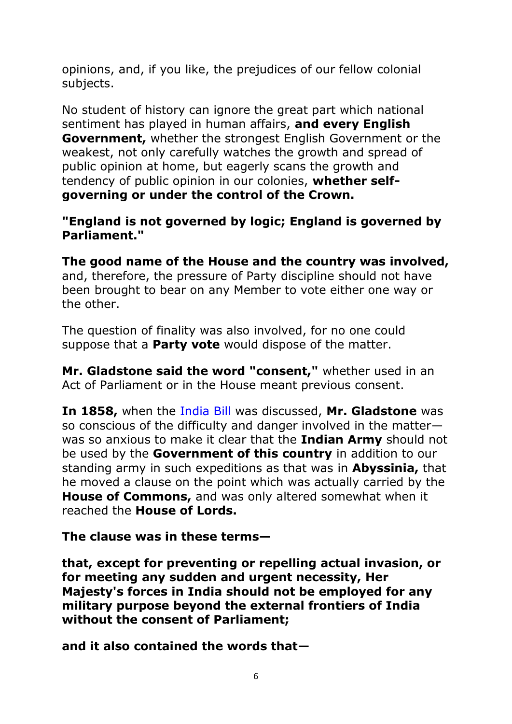opinions, and, if you like, the prejudices of our fellow colonial subjects.

No student of history can ignore the great part which national sentiment has played in human affairs, **and every English Government,** whether the strongest English Government or the weakest, not only carefully watches the growth and spread of public opinion at home, but eagerly scans the growth and tendency of public opinion in our colonies, **whether selfgoverning or under the control of the Crown.** 

## **"England is not governed by logic; England is governed by Parliament."**

**The good name of the House and the country was involved,** and, therefore, the pressure of Party discipline should not have been brought to bear on any Member to vote either one way or the other.

The question of finality was also involved, for no one could suppose that a **Party vote** would dispose of the matter.

**Mr. Gladstone said the word "consent,"** whether used in an Act of Parliament or in the House meant previous consent.

**In 1858,** when the [India Bill](http://hansard.millbanksystems.com/bills/india-bill) was discussed, **Mr. Gladstone** was so conscious of the difficulty and danger involved in the matter was so anxious to make it clear that the **Indian Army** should not be used by the **Government of this country** in addition to our standing army in such expeditions as that was in **Abyssinia,** that he moved a clause on the point which was actually carried by the **House of Commons,** and was only altered somewhat when it reached the **House of Lords.**

**The clause was in these terms—**

**that, except for preventing or repelling actual invasion, or for meeting any sudden and urgent necessity, Her Majesty's forces in India should not be employed for any military purpose beyond the external frontiers of India without the consent of Parliament;**

**and it also contained the words that—**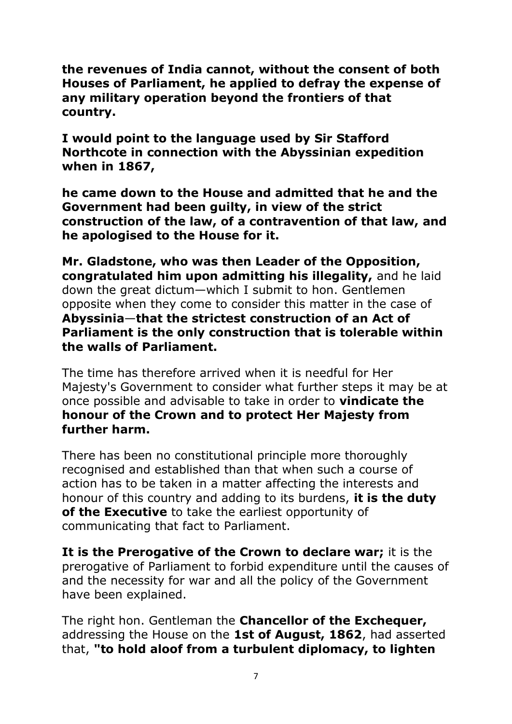**the revenues of India cannot, without the consent of both Houses of Parliament, he applied to defray the expense of any military operation beyond the frontiers of that country.**

**I would point to the language used by Sir Stafford Northcote in connection with the Abyssinian expedition when in 1867,**

**he came down to the House and admitted that he and the Government had been guilty, in view of the strict construction of the law, of a contravention of that law, and he apologised to the House for it.** 

**Mr. Gladstone, who was then Leader of the Opposition, congratulated him upon admitting his illegality,** and he laid down the great dictum—which I submit to hon. Gentlemen opposite when they come to consider this matter in the case of **Abyssinia**—**that the strictest construction of an Act of Parliament is the only construction that is tolerable within the walls of Parliament.**

The time has therefore arrived when it is needful for Her Majesty's Government to consider what further steps it may be at once possible and advisable to take in order to **vindicate the honour of the Crown and to protect Her Majesty from further harm.**

There has been no constitutional principle more thoroughly recognised and established than that when such a course of action has to be taken in a matter affecting the interests and honour of this country and adding to its burdens, **it is the duty of the Executive** to take the earliest opportunity of communicating that fact to Parliament.

**It is the Prerogative of the Crown to declare war;** it is the prerogative of Parliament to forbid expenditure until the causes of and the necessity for war and all the policy of the Government have been explained.

The right hon. Gentleman the **Chancellor of the Exchequer,**  addressing the House on the **1st of August, 1862**, had asserted that, **"to hold aloof from a turbulent diplomacy, to lighten**